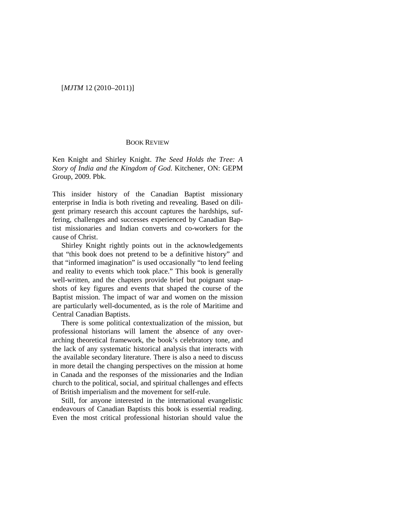## [*MJTM* 12 (2010–2011)]

## BOOK REVIEW

Ken Knight and Shirley Knight. *The Seed Holds the Tree: A Story of India and the Kingdom of God*. Kitchener, ON: GEPM Group, 2009. Pbk.

This insider history of the Canadian Baptist missionary enterprise in India is both riveting and revealing. Based on diligent primary research this account captures the hardships, suffering, challenges and successes experienced by Canadian Baptist missionaries and Indian converts and co-workers for the cause of Christ.

Shirley Knight rightly points out in the acknowledgements that "this book does not pretend to be a definitive history" and that "informed imagination" is used occasionally "to lend feeling and reality to events which took place." This book is generally well-written, and the chapters provide brief but poignant snapshots of key figures and events that shaped the course of the Baptist mission. The impact of war and women on the mission are particularly well-documented, as is the role of Maritime and Central Canadian Baptists.

There is some political contextualization of the mission, but professional historians will lament the absence of any overarching theoretical framework, the book's celebratory tone, and the lack of any systematic historical analysis that interacts with the available secondary literature. There is also a need to discuss in more detail the changing perspectives on the mission at home in Canada and the responses of the missionaries and the Indian church to the political, social, and spiritual challenges and effects of British imperialism and the movement for self-rule.

Still, for anyone interested in the international evangelistic endeavours of Canadian Baptists this book is essential reading. Even the most critical professional historian should value the